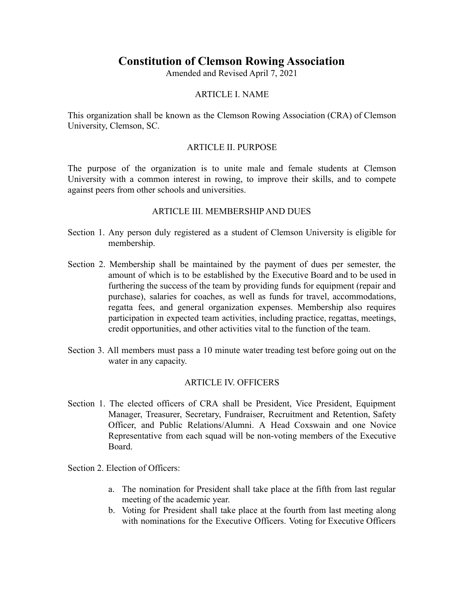# **Constitution of Clemson Rowing Association**

Amended and Revised April 7, 2021

#### ARTICLE I. NAME

This organization shall be known as the Clemson Rowing Association (CRA) of Clemson University, Clemson, SC.

#### ARTICLE II. PURPOSE

The purpose of the organization is to unite male and female students at Clemson University with a common interest in rowing, to improve their skills, and to compete against peers from other schools and universities.

#### ARTICLE III. MEMBERSHIP AND DUES

- Section 1. Any person duly registered as a student of Clemson University is eligible for membership.
- Section 2. Membership shall be maintained by the payment of dues per semester, the amount of which is to be established by the Executive Board and to be used in furthering the success of the team by providing funds for equipment (repair and purchase), salaries for coaches, as well as funds for travel, accommodations, regatta fees, and general organization expenses. Membership also requires participation in expected team activities, including practice, regattas, meetings, credit opportunities, and other activities vital to the function of the team.
- Section 3. All members must pass a 10 minute water treading test before going out on the water in any capacity.

#### ARTICLE IV. OFFICERS

Section 1. The elected officers of CRA shall be President, Vice President, Equipment Manager, Treasurer, Secretary, Fundraiser, Recruitment and Retention, Safety Officer, and Public Relations/Alumni. A Head Coxswain and one Novice Representative from each squad will be non-voting members of the Executive Board.

Section 2. Election of Officers:

- a. The nomination for President shall take place at the fifth from last regular meeting of the academic year.
- b. Voting for President shall take place at the fourth from last meeting along with nominations for the Executive Officers. Voting for Executive Officers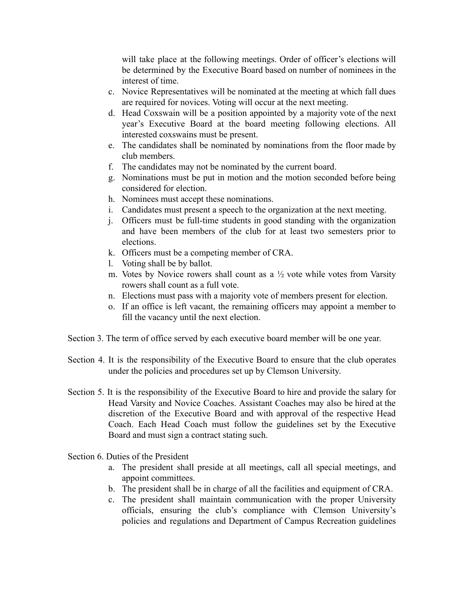will take place at the following meetings. Order of officer's elections will be determined by the Executive Board based on number of nominees in the interest of time.

- c. Novice Representatives will be nominated at the meeting at which fall dues are required for novices. Voting will occur at the next meeting.
- d. Head Coxswain will be a position appointed by a majority vote of the next year's Executive Board at the board meeting following elections. All interested coxswains must be present.
- e. The candidates shall be nominated by nominations from the floor made by club members.
- f. The candidates may not be nominated by the current board.
- g. Nominations must be put in motion and the motion seconded before being considered for election.
- h. Nominees must accept these nominations.
- i. Candidates must present a speech to the organization at the next meeting.
- j. Officers must be full-time students in good standing with the organization and have been members of the club for at least two semesters prior to elections.
- k. Officers must be a competing member of CRA.
- l. Voting shall be by ballot.
- m. Votes by Novice rowers shall count as a  $\frac{1}{2}$  vote while votes from Varsity rowers shall count as a full vote.
- n. Elections must pass with a majority vote of members present for election.
- o. If an office is left vacant, the remaining officers may appoint a member to fill the vacancy until the next election.
- Section 3. The term of office served by each executive board member will be one year.
- Section 4. It is the responsibility of the Executive Board to ensure that the club operates under the policies and procedures set up by Clemson University.
- Section 5. It is the responsibility of the Executive Board to hire and provide the salary for Head Varsity and Novice Coaches. Assistant Coaches may also be hired at the discretion of the Executive Board and with approval of the respective Head Coach. Each Head Coach must follow the guidelines set by the Executive Board and must sign a contract stating such.
- Section 6. Duties of the President
	- a. The president shall preside at all meetings, call all special meetings, and appoint committees.
	- b. The president shall be in charge of all the facilities and equipment of CRA.
	- c. The president shall maintain communication with the proper University officials, ensuring the club's compliance with Clemson University's policies and regulations and Department of Campus Recreation guidelines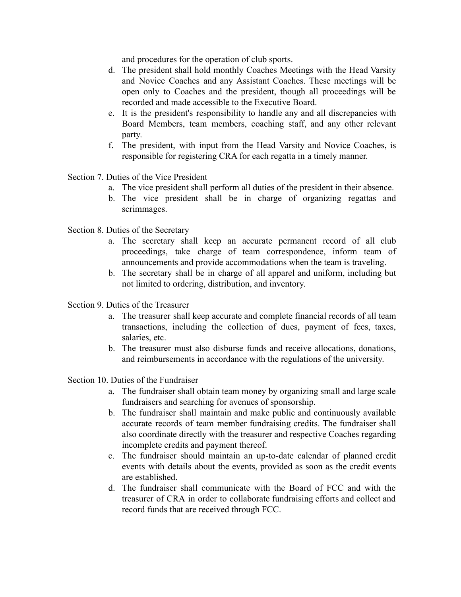and procedures for the operation of club sports.

- d. The president shall hold monthly Coaches Meetings with the Head Varsity and Novice Coaches and any Assistant Coaches. These meetings will be open only to Coaches and the president, though all proceedings will be recorded and made accessible to the Executive Board.
- e. It is the president's responsibility to handle any and all discrepancies with Board Members, team members, coaching staff, and any other relevant party.
- f. The president, with input from the Head Varsity and Novice Coaches, is responsible for registering CRA for each regatta in a timely manner.

Section 7. Duties of the Vice President

- a. The vice president shall perform all duties of the president in their absence.
- b. The vice president shall be in charge of organizing regattas and scrimmages.
- Section 8. Duties of the Secretary
	- a. The secretary shall keep an accurate permanent record of all club proceedings, take charge of team correspondence, inform team of announcements and provide accommodations when the team is traveling.
	- b. The secretary shall be in charge of all apparel and uniform, including but not limited to ordering, distribution, and inventory.
- Section 9. Duties of the Treasurer
	- a. The treasurer shall keep accurate and complete financial records of all team transactions, including the collection of dues, payment of fees, taxes, salaries, etc.
	- b. The treasurer must also disburse funds and receive allocations, donations, and reimbursements in accordance with the regulations of the university.
- Section 10. Duties of the Fundraiser
	- a. The fundraiser shall obtain team money by organizing small and large scale fundraisers and searching for avenues of sponsorship.
	- b. The fundraiser shall maintain and make public and continuously available accurate records of team member fundraising credits. The fundraiser shall also coordinate directly with the treasurer and respective Coaches regarding incomplete credits and payment thereof.
	- c. The fundraiser should maintain an up-to-date calendar of planned credit events with details about the events, provided as soon as the credit events are established.
	- d. The fundraiser shall communicate with the Board of FCC and with the treasurer of CRA in order to collaborate fundraising efforts and collect and record funds that are received through FCC.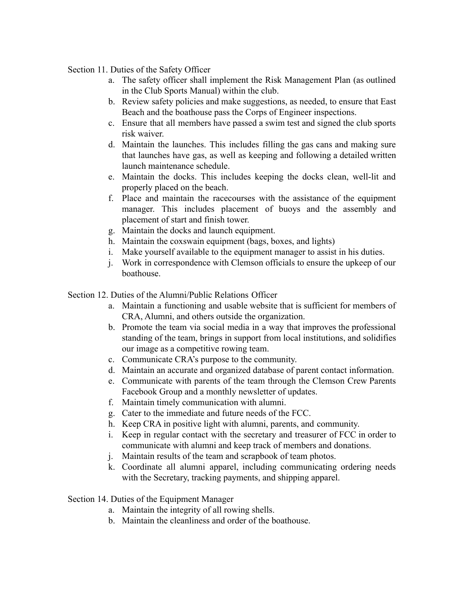## Section 11. Duties of the Safety Officer

- a. The safety officer shall implement the Risk Management Plan (as outlined in the Club Sports Manual) within the club.
- b. Review safety policies and make suggestions, as needed, to ensure that East Beach and the boathouse pass the Corps of Engineer inspections.
- c. Ensure that all members have passed a swim test and signed the club sports risk waiver.
- d. Maintain the launches. This includes filling the gas cans and making sure that launches have gas, as well as keeping and following a detailed written launch maintenance schedule.
- e. Maintain the docks. This includes keeping the docks clean, well-lit and properly placed on the beach.
- f. Place and maintain the racecourses with the assistance of the equipment manager. This includes placement of buoys and the assembly and placement of start and finish tower.
- g. Maintain the docks and launch equipment.
- h. Maintain the coxswain equipment (bags, boxes, and lights)
- i. Make yourself available to the equipment manager to assist in his duties.
- j. Work in correspondence with Clemson officials to ensure the upkeep of our boathouse.

### Section 12. Duties of the Alumni/Public Relations Officer

- a. Maintain a functioning and usable website that is sufficient for members of CRA, Alumni, and others outside the organization.
- b. Promote the team via social media in a way that improves the professional standing of the team, brings in support from local institutions, and solidifies our image as a competitive rowing team.
- c. Communicate CRA's purpose to the community.
- d. Maintain an accurate and organized database of parent contact information.
- e. Communicate with parents of the team through the Clemson Crew Parents Facebook Group and a monthly newsletter of updates.
- f. Maintain timely communication with alumni.
- g. Cater to the immediate and future needs of the FCC.
- h. Keep CRA in positive light with alumni, parents, and community.
- i. Keep in regular contact with the secretary and treasurer of FCC in order to communicate with alumni and keep track of members and donations.
- j. Maintain results of the team and scrapbook of team photos.
- k. Coordinate all alumni apparel, including communicating ordering needs with the Secretary, tracking payments, and shipping apparel.

Section 14. Duties of the Equipment Manager

- a. Maintain the integrity of all rowing shells.
- b. Maintain the cleanliness and order of the boathouse.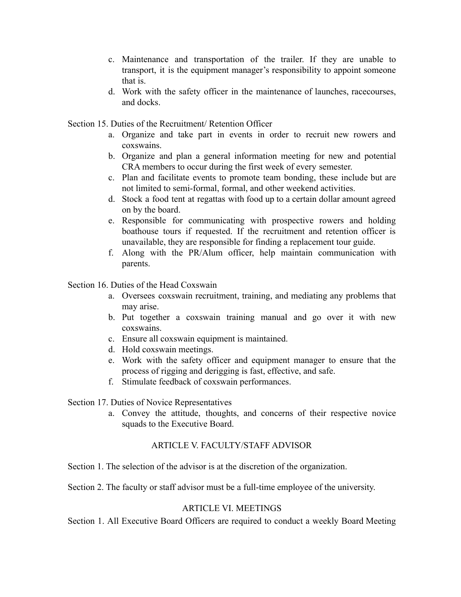- c. Maintenance and transportation of the trailer. If they are unable to transport, it is the equipment manager's responsibility to appoint someone that is.
- d. Work with the safety officer in the maintenance of launches, racecourses, and docks.

Section 15. Duties of the Recruitment/ Retention Officer

- a. Organize and take part in events in order to recruit new rowers and coxswains.
- b. Organize and plan a general information meeting for new and potential CRA members to occur during the first week of every semester.
- c. Plan and facilitate events to promote team bonding, these include but are not limited to semi-formal, formal, and other weekend activities.
- d. Stock a food tent at regattas with food up to a certain dollar amount agreed on by the board.
- e. Responsible for communicating with prospective rowers and holding boathouse tours if requested. If the recruitment and retention officer is unavailable, they are responsible for finding a replacement tour guide.
- f. Along with the PR/Alum officer, help maintain communication with parents.

Section 16. Duties of the Head Coxswain

- a. Oversees coxswain recruitment, training, and mediating any problems that may arise.
- b. Put together a coxswain training manual and go over it with new coxswains.
- c. Ensure all coxswain equipment is maintained.
- d. Hold coxswain meetings.
- e. Work with the safety officer and equipment manager to ensure that the process of rigging and derigging is fast, effective, and safe.
- f. Stimulate feedback of coxswain performances.

Section 17. Duties of Novice Representatives

a. Convey the attitude, thoughts, and concerns of their respective novice squads to the Executive Board.

## ARTICLE V. FACULTY/STAFF ADVISOR

Section 1. The selection of the advisor is at the discretion of the organization.

Section 2. The faculty or staff advisor must be a full-time employee of the university.

## ARTICLE VI. MEETINGS

Section 1. All Executive Board Officers are required to conduct a weekly Board Meeting